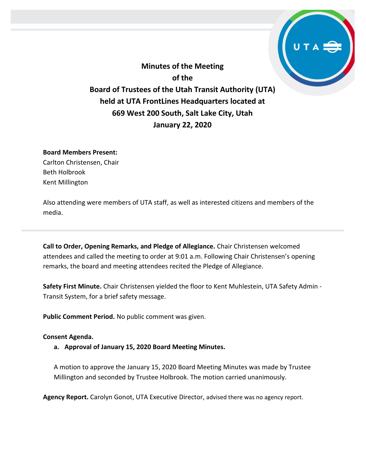

**Minutes of the Meeting of the Board of Trustees of the Utah Transit Authority (UTA) held at UTA FrontLines Headquarters located at 669 West 200 South, Salt Lake City, Utah January 22, 2020**

### **Board Members Present:**

Carlton Christensen, Chair Beth Holbrook Kent Millington

Also attending were members of UTA staff, as well as interested citizens and members of the media.

**Call to Order, Opening Remarks, and Pledge of Allegiance.** Chair Christensen welcomed attendees and called the meeting to order at 9:01 a.m. Following Chair Christensen's opening remarks, the board and meeting attendees recited the Pledge of Allegiance.

**Safety First Minute.** Chair Christensen yielded the floor to Kent Muhlestein, UTA Safety Admin - Transit System, for a brief safety message.

**Public Comment Period.** No public comment was given.

# **Consent Agenda.**

**a. Approval of January 15, 2020 Board Meeting Minutes.**

A motion to approve the January 15, 2020 Board Meeting Minutes was made by Trustee Millington and seconded by Trustee Holbrook. The motion carried unanimously.

**Agency Report.** Carolyn Gonot, UTA Executive Director, advised there was no agency report.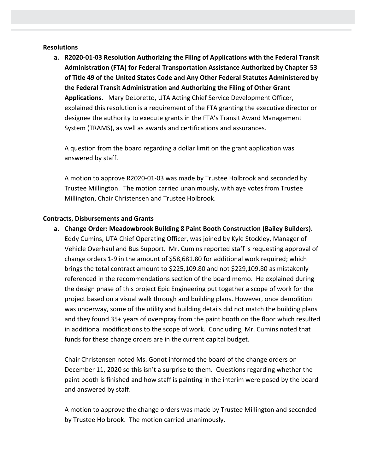### **Resolutions**

**a. R2020-01-03 Resolution Authorizing the Filing of Applications with the Federal Transit Administration (FTA) for Federal Transportation Assistance Authorized by Chapter 53 of Title 49 of the United States Code and Any Other Federal Statutes Administered by the Federal Transit Administration and Authorizing the Filing of Other Grant Applications.** Mary DeLoretto, UTA Acting Chief Service Development Officer, explained this resolution is a requirement of the FTA granting the executive director or designee the authority to execute grants in the FTA's Transit Award Management System (TRAMS), as well as awards and certifications and assurances.

A question from the board regarding a dollar limit on the grant application was answered by staff.

A motion to approve R2020-01-03 was made by Trustee Holbrook and seconded by Trustee Millington. The motion carried unanimously, with aye votes from Trustee Millington, Chair Christensen and Trustee Holbrook.

### **Contracts, Disbursements and Grants**

**a. Change Order: Meadowbrook Building 8 Paint Booth Construction (Bailey Builders).** Eddy Cumins, UTA Chief Operating Officer, was joined by Kyle Stockley, Manager of Vehicle Overhaul and Bus Support. Mr. Cumins reported staff is requesting approval of change orders 1-9 in the amount of \$58,681.80 for additional work required; which brings the total contract amount to \$225,109.80 and not \$229,109.80 as mistakenly referenced in the recommendations section of the board memo. He explained during the design phase of this project Epic Engineering put together a scope of work for the project based on a visual walk through and building plans. However, once demolition was underway, some of the utility and building details did not match the building plans and they found 35+ years of overspray from the paint booth on the floor which resulted in additional modifications to the scope of work. Concluding, Mr. Cumins noted that funds for these change orders are in the current capital budget.

Chair Christensen noted Ms. Gonot informed the board of the change orders on December 11, 2020 so this isn't a surprise to them. Questions regarding whether the paint booth is finished and how staff is painting in the interim were posed by the board and answered by staff.

A motion to approve the change orders was made by Trustee Millington and seconded by Trustee Holbrook. The motion carried unanimously.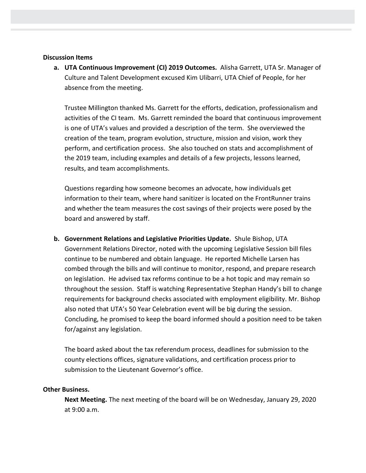### **Discussion Items**

**a. UTA Continuous Improvement (CI) 2019 Outcomes.** Alisha Garrett, UTA Sr. Manager of Culture and Talent Development excused Kim Ulibarri, UTA Chief of People, for her absence from the meeting.

Trustee Millington thanked Ms. Garrett for the efforts, dedication, professionalism and activities of the CI team. Ms. Garrett reminded the board that continuous improvement is one of UTA's values and provided a description of the term. She overviewed the creation of the team, program evolution, structure, mission and vision, work they perform, and certification process. She also touched on stats and accomplishment of the 2019 team, including examples and details of a few projects, lessons learned, results, and team accomplishments.

Questions regarding how someone becomes an advocate, how individuals get information to their team, where hand sanitizer is located on the FrontRunner trains and whether the team measures the cost savings of their projects were posed by the board and answered by staff.

**b. Government Relations and Legislative Priorities Update.** Shule Bishop, UTA Government Relations Director, noted with the upcoming Legislative Session bill files continue to be numbered and obtain language. He reported Michelle Larsen has combed through the bills and will continue to monitor, respond, and prepare research on legislation. He advised tax reforms continue to be a hot topic and may remain so throughout the session. Staff is watching Representative Stephan Handy's bill to change requirements for background checks associated with employment eligibility. Mr. Bishop also noted that UTA's 50 Year Celebration event will be big during the session. Concluding, he promised to keep the board informed should a position need to be taken for/against any legislation.

The board asked about the tax referendum process, deadlines for submission to the county elections offices, signature validations, and certification process prior to submission to the Lieutenant Governor's office.

# **Other Business.**

**Next Meeting.** The next meeting of the board will be on Wednesday, January 29, 2020 at 9:00 a.m.